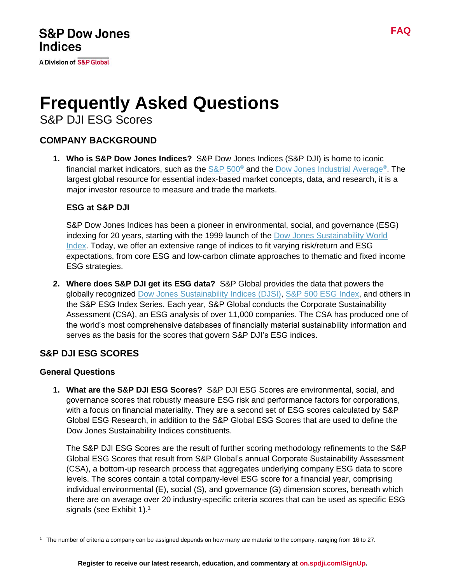**A Division of S&P Global** 

# **Frequently Asked Questions**

S&P DJI ESG Scores

## **COMPANY BACKGROUND**

**1. Who is S&P Dow Jones Indices?** S&P Dow Jones Indices (S&P DJI) is home to iconic financial market indicators, such as the [S&P 500](https://www.spglobal.com/spdji/en/indices/equity/sp-500?utm_source=pdf_education)® and the [Dow Jones Industrial Average](https://www.spglobal.com/spdji/en/indices/equity/dow-jones-industrial-average?utm_source=pdf_education)®. The largest global resource for essential index-based market concepts, data, and research, it is a major investor resource to measure and trade the markets.

#### **ESG at S&P DJI**

S&P Dow Jones Indices has been a pioneer in environmental, social, and governance (ESG) indexing for 20 years, starting with the 1999 launch of the [Dow Jones Sustainability World](https://www.spglobal.com/spdji/en/indices/equity/dow-jones-sustainability-world-index?utm_source=pdf_education)  [Index.](https://www.spglobal.com/spdji/en/indices/equity/dow-jones-sustainability-world-index?utm_source=pdf_education) Today, we offer an extensive range of indices to fit varying risk/return and ESG expectations, from core ESG and low-carbon climate approaches to thematic and fixed income ESG strategies.

**2. Where does S&P DJI get its ESG data?** S&P Global provides the data that powers the globally recognized [Dow Jones Sustainability Indices](https://www.spglobal.com/spdji/en/index-family/esg/core-esg/djsi?utm_source=pdf_education) (DJSI), S&P 500 [ESG Index,](https://www.spglobal.com/spdji/en/indices/esg/sp-500-esg-index?utm_source=pdf_education) and others in the S&P ESG Index Series. Each year, S&P Global conducts the Corporate Sustainability Assessment (CSA), an ESG analysis of over 11,000 companies. The CSA has produced one of the world's most comprehensive databases of financially material sustainability information and serves as the basis for the scores that govern S&P DJI's ESG indices.

## **S&P DJI ESG SCORES**

#### **General Questions**

**1. What are the S&P DJI ESG Scores?** S&P DJI ESG Scores are environmental, social, and governance scores that robustly measure ESG risk and performance factors for corporations, with a focus on financial materiality. They are a second set of ESG scores calculated by S&P Global ESG Research, in addition to the S&P Global ESG Scores that are used to define the Dow Jones Sustainability Indices constituents.

The S&P DJI ESG Scores are the result of further scoring methodology refinements to the S&P Global ESG Scores that result from S&P Global's annual Corporate Sustainability Assessment (CSA), a bottom-up research process that aggregates underlying company ESG data to score levels. The scores contain a total company-level ESG score for a financial year, comprising individual environmental (E), social (S), and governance (G) dimension scores, beneath which there are on average over 20 industry-specific criteria scores that can be used as specific ESG signals (see Exhibit 1). $^1$ 

 $1$  The number of criteria a company can be assigned depends on how many are material to the company, ranging from 16 to 27.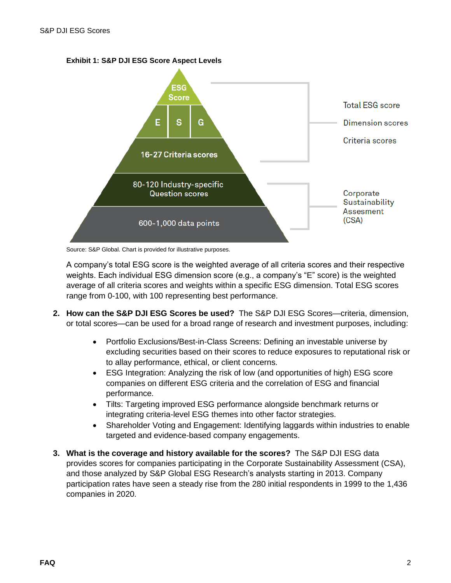



Source: S&P Global. Chart is provided for illustrative purposes.

A company's total ESG score is the weighted average of all criteria scores and their respective weights. Each individual ESG dimension score (e.g., a company's "E" score) is the weighted average of all criteria scores and weights within a specific ESG dimension. Total ESG scores range from 0-100, with 100 representing best performance.

- **2. How can the S&P DJI ESG Scores be used?** The S&P DJI ESG Scores—criteria, dimension, or total scores—can be used for a broad range of research and investment purposes, including:
	- Portfolio Exclusions/Best-in-Class Screens: Defining an investable universe by excluding securities based on their scores to reduce exposures to reputational risk or to allay performance, ethical, or client concerns.
	- ESG Integration: Analyzing the risk of low (and opportunities of high) ESG score companies on different ESG criteria and the correlation of ESG and financial performance.
	- Tilts: Targeting improved ESG performance alongside benchmark returns or integrating criteria-level ESG themes into other factor strategies.
	- Shareholder Voting and Engagement: Identifying laggards within industries to enable targeted and evidence-based company engagements.
- **3. What is the coverage and history available for the scores?** The S&P DJI ESG data provides scores for companies participating in the Corporate Sustainability Assessment (CSA), and those analyzed by S&P Global ESG Research's analysts starting in 2013. Company participation rates have seen a steady rise from the 280 initial respondents in 1999 to the 1,436 companies in 2020.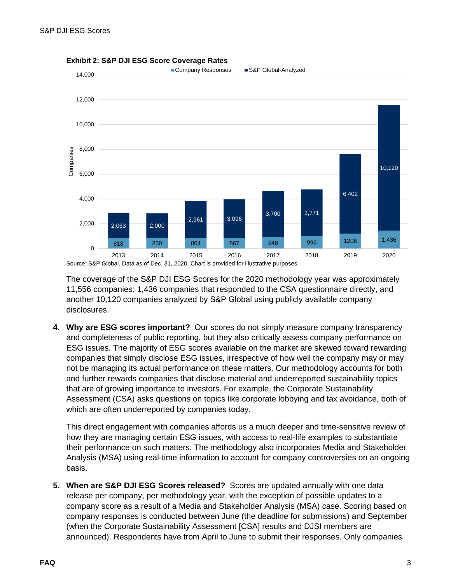

**Exhibit 2: S&P DJI ESG Score Coverage Rates**

The coverage of the S&P DJI ESG Scores for the 2020 methodology year was approximately 11,556 companies: 1,436 companies that responded to the CSA questionnaire directly, and another 10,120 companies analyzed by S&P Global using publicly available company disclosures.

**4. Why are ESG scores important?** Our scores do not simply measure company transparency and completeness of public reporting, but they also critically assess company performance on ESG issues. The majority of ESG scores available on the market are skewed toward rewarding companies that simply disclose ESG issues, irrespective of how well the company may or may not be managing its actual performance on these matters. Our methodology accounts for both and further rewards companies that disclose material and underreported sustainability topics that are of growing importance to investors. For example, the Corporate Sustainability Assessment (CSA) asks questions on topics like corporate lobbying and tax avoidance, both of which are often underreported by companies today.

This direct engagement with companies affords us a much deeper and time-sensitive review of how they are managing certain ESG issues, with access to real-life examples to substantiate their performance on such matters. The methodology also incorporates Media and Stakeholder Analysis (MSA) using real-time information to account for company controversies on an ongoing basis.

**5. When are S&P DJI ESG Scores released?** Scores are updated annually with one data release per company, per methodology year, with the exception of possible updates to a company score as a result of a Media and Stakeholder Analysis (MSA) case. Scoring based on company responses is conducted between June (the deadline for submissions) and September (when the Corporate Sustainability Assessment [CSA] results and DJSI members are announced). Respondents have from April to June to submit their responses. Only companies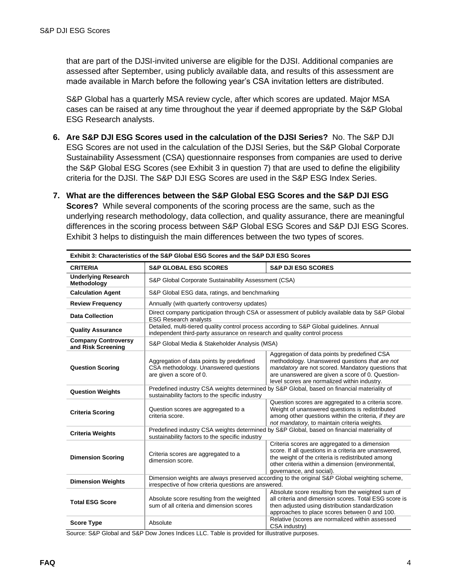that are part of the DJSI-invited universe are eligible for the DJSI. Additional companies are assessed after September, using publicly available data, and results of this assessment are made available in March before the following year's CSA invitation letters are distributed.

S&P Global has a quarterly MSA review cycle, after which scores are updated. Major MSA cases can be raised at any time throughout the year if deemed appropriate by the S&P Global ESG Research analysts.

- **6. Are S&P DJI ESG Scores used in the calculation of the DJSI Series?** No. The S&P DJI ESG Scores are not used in the calculation of the DJSI Series, but the S&P Global Corporate Sustainability Assessment (CSA) questionnaire responses from companies are used to derive the S&P Global ESG Scores (see Exhibit 3 in question 7) that are used to define the eligibility criteria for the DJSI. The S&P DJI ESG Scores are used in the S&P ESG Index Series.
- **7. What are the differences between the S&P Global ESG Scores and the S&P DJI ESG Scores?** While several components of the scoring process are the same, such as the underlying research methodology, data collection, and quality assurance, there are meaningful differences in the scoring process between S&P Global ESG Scores and S&P DJI ESG Scores. Exhibit 3 helps to distinguish the main differences between the two types of scores.

| Exhibit 3: Characteristics of the S&P Global ESG Scores and the S&P DJI ESG Scores |                                                                                                                                                                        |                                                                                                                                                                                                                                                          |  |
|------------------------------------------------------------------------------------|------------------------------------------------------------------------------------------------------------------------------------------------------------------------|----------------------------------------------------------------------------------------------------------------------------------------------------------------------------------------------------------------------------------------------------------|--|
| <b>CRITERIA</b>                                                                    | <b>S&amp;P GLOBAL ESG SCORES</b>                                                                                                                                       | <b>S&amp;P DJI ESG SCORES</b>                                                                                                                                                                                                                            |  |
| <b>Underlying Research</b><br>Methodology                                          | S&P Global Corporate Sustainability Assessment (CSA)                                                                                                                   |                                                                                                                                                                                                                                                          |  |
| <b>Calculation Agent</b>                                                           | S&P Global ESG data, ratings, and benchmarking                                                                                                                         |                                                                                                                                                                                                                                                          |  |
| <b>Review Frequency</b>                                                            | Annually (with quarterly controversy updates)                                                                                                                          |                                                                                                                                                                                                                                                          |  |
| <b>Data Collection</b>                                                             | Direct company participation through CSA or assessment of publicly available data by S&P Global<br><b>ESG Research analysts</b>                                        |                                                                                                                                                                                                                                                          |  |
| <b>Quality Assurance</b>                                                           | Detailed, multi-tiered quality control process according to S&P Global guidelines. Annual<br>independent third-party assurance on research and quality control process |                                                                                                                                                                                                                                                          |  |
| <b>Company Controversy</b><br>and Risk Screening                                   | S&P Global Media & Stakeholder Analysis (MSA)                                                                                                                          |                                                                                                                                                                                                                                                          |  |
| <b>Question Scoring</b>                                                            | Aggregation of data points by predefined<br>CSA methodology. Unanswered questions<br>are given a score of 0.                                                           | Aggregation of data points by predefined CSA<br>methodology. Unanswered questions that are not<br>mandatory are not scored. Mandatory questions that<br>are unanswered are given a score of 0. Question-<br>level scores are normalized within industry. |  |
| <b>Question Weights</b>                                                            | Predefined industry CSA weights determined by S&P Global, based on financial materiality of<br>sustainability factors to the specific industry                         |                                                                                                                                                                                                                                                          |  |
| <b>Criteria Scoring</b>                                                            | Question scores are aggregated to a<br>criteria score.                                                                                                                 | Question scores are aggregated to a criteria score.<br>Weight of unanswered questions is redistributed<br>among other questions within the criteria, if they are<br>not mandatory, to maintain criteria weights.                                         |  |
| <b>Criteria Weights</b>                                                            | Predefined industry CSA weights determined by S&P Global, based on financial materiality of<br>sustainability factors to the specific industry                         |                                                                                                                                                                                                                                                          |  |
| <b>Dimension Scoring</b>                                                           | Criteria scores are aggregated to a<br>dimension score.                                                                                                                | Criteria scores are aggregated to a dimension<br>score. If all questions in a criteria are unanswered,<br>the weight of the criteria is redistributed among<br>other criteria within a dimension (environmental,<br>governance, and social).             |  |
| <b>Dimension Weights</b>                                                           | Dimension weights are always preserved according to the original S&P Global weighting scheme,<br>irrespective of how criteria questions are answered.                  |                                                                                                                                                                                                                                                          |  |
| <b>Total ESG Score</b>                                                             | Absolute score resulting from the weighted<br>sum of all criteria and dimension scores                                                                                 | Absolute score resulting from the weighted sum of<br>all criteria and dimension scores. Total ESG score is<br>then adjusted using distribution standardization<br>approaches to place scores between 0 and 100.                                          |  |
| <b>Score Type</b>                                                                  | Absolute                                                                                                                                                               | Relative (scores are normalized within assessed<br>CSA industry)                                                                                                                                                                                         |  |

Source: S&P Global and S&P Dow Jones Indices LLC. Table is provided for illustrative purposes.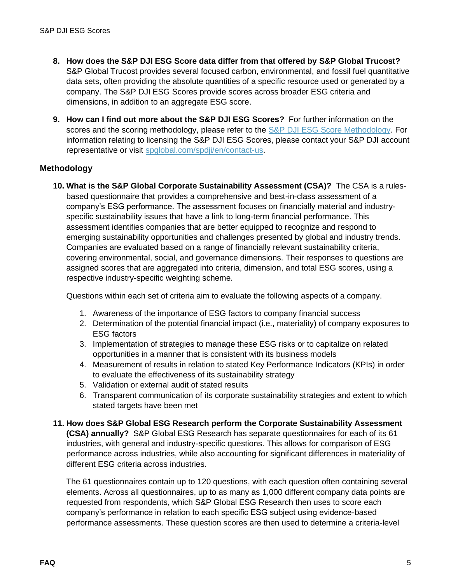- **8. How does the S&P DJI ESG Score data differ from that offered by S&P Global Trucost?** S&P Global Trucost provides several focused carbon, environmental, and fossil fuel quantitative data sets, often providing the absolute quantities of a specific resource used or generated by a company. The S&P DJI ESG Scores provide scores across broader ESG criteria and dimensions, in addition to an aggregate ESG score.
- **9. How can I find out more about the S&P DJI ESG Scores?** For further information on the scores and the scoring methodology, please refer to the [S&P DJI ESG Score Methodology.](https://www.spglobal.com/spdji/en/documents/methodologies/methodology-sp-dji-esg-score.pdf?utm_source=pdf_education) For information relating to licensing the S&P DJI ESG Scores, please contact your S&P DJI account representative or visit [spglobal.com/spdji/en/contact-us.](https://www.spglobal.com/spdji/en/contact-us/?utm_source=pdf_education)

### **Methodology**

**10. What is the S&P Global Corporate Sustainability Assessment (CSA)?** The CSA is a rulesbased questionnaire that provides a comprehensive and best-in-class assessment of a company's ESG performance. The assessment focuses on financially material and industryspecific sustainability issues that have a link to long-term financial performance. This assessment identifies companies that are better equipped to recognize and respond to emerging sustainability opportunities and challenges presented by global and industry trends. Companies are evaluated based on a range of financially relevant sustainability criteria, covering environmental, social, and governance dimensions. Their responses to questions are assigned scores that are aggregated into criteria, dimension, and total ESG scores, using a respective industry-specific weighting scheme.

Questions within each set of criteria aim to evaluate the following aspects of a company.

- 1. Awareness of the importance of ESG factors to company financial success
- 2. Determination of the potential financial impact (i.e., materiality) of company exposures to ESG factors
- 3. Implementation of strategies to manage these ESG risks or to capitalize on related opportunities in a manner that is consistent with its business models
- 4. Measurement of results in relation to stated Key Performance Indicators (KPIs) in order to evaluate the effectiveness of its sustainability strategy
- 5. Validation or external audit of stated results
- 6. Transparent communication of its corporate sustainability strategies and extent to which stated targets have been met
- **11. How does S&P Global ESG Research perform the Corporate Sustainability Assessment**

**(CSA) annually?** S&P Global ESG Research has separate questionnaires for each of its 61 industries, with general and industry-specific questions. This allows for comparison of ESG performance across industries, while also accounting for significant differences in materiality of different ESG criteria across industries.

The 61 questionnaires contain up to 120 questions, with each question often containing several elements. Across all questionnaires, up to as many as 1,000 different company data points are requested from respondents, which S&P Global ESG Research then uses to score each company's performance in relation to each specific ESG subject using evidence-based performance assessments. These question scores are then used to determine a criteria-level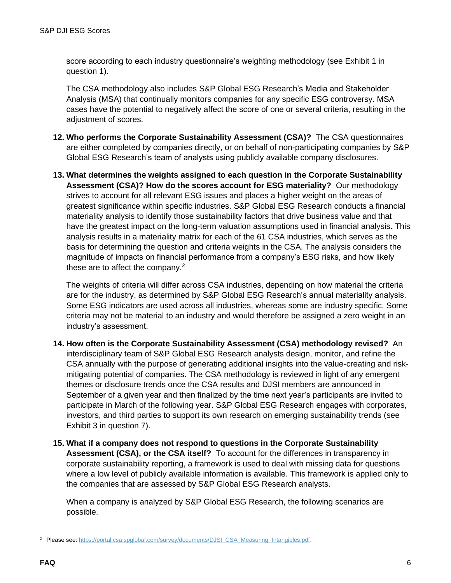score according to each industry questionnaire's weighting methodology (see Exhibit 1 in question 1).

The CSA methodology also includes S&P Global ESG Research's Media and Stakeholder Analysis (MSA) that continually monitors companies for any specific ESG controversy. MSA cases have the potential to negatively affect the score of one or several criteria, resulting in the adjustment of scores.

- **12. Who performs the Corporate Sustainability Assessment (CSA)?** The CSA questionnaires are either completed by companies directly, or on behalf of non-participating companies by S&P Global ESG Research's team of analysts using publicly available company disclosures.
- **13. What determines the weights assigned to each question in the Corporate Sustainability Assessment (CSA)? How do the scores account for ESG materiality?** Our methodology strives to account for all relevant ESG issues and places a higher weight on the areas of greatest significance within specific industries. S&P Global ESG Research conducts a financial materiality analysis to identify those sustainability factors that drive business value and that have the greatest impact on the long-term valuation assumptions used in financial analysis. This analysis results in a materiality matrix for each of the 61 CSA industries, which serves as the basis for determining the question and criteria weights in the CSA. The analysis considers the magnitude of impacts on financial performance from a company's ESG risks, and how likely these are to affect the company.<sup>2</sup>

The weights of criteria will differ across CSA industries, depending on how material the criteria are for the industry, as determined by S&P Global ESG Research's annual materiality analysis. Some ESG indicators are used across all industries, whereas some are industry specific. Some criteria may not be material to an industry and would therefore be assigned a zero weight in an industry's assessment.

- **14. How often is the Corporate Sustainability Assessment (CSA) methodology revised?** An interdisciplinary team of S&P Global ESG Research analysts design, monitor, and refine the CSA annually with the purpose of generating additional insights into the value-creating and riskmitigating potential of companies. The CSA methodology is reviewed in light of any emergent themes or disclosure trends once the CSA results and DJSI members are announced in September of a given year and then finalized by the time next year's participants are invited to participate in March of the following year. S&P Global ESG Research engages with corporates, investors, and third parties to support its own research on emerging sustainability trends (see Exhibit 3 in question 7).
- **15. What if a company does not respond to questions in the Corporate Sustainability Assessment (CSA), or the CSA itself?** To account for the differences in transparency in corporate sustainability reporting, a framework is used to deal with missing data for questions where a low level of publicly available information is available. This framework is applied only to the companies that are assessed by S&P Global ESG Research analysts.

When a company is analyzed by S&P Global ESG Research, the following scenarios are possible.

<sup>&</sup>lt;sup>2</sup> Please see: [https://portal.csa.spglobal.com/survey/documents/DJSI\\_CSA\\_Measuring\\_Intangibles.pdf.](https://portal.csa.spglobal.com/survey/documents/DJSI_CSA_Measuring_Intangibles.pdf?utm_source=pdf_education)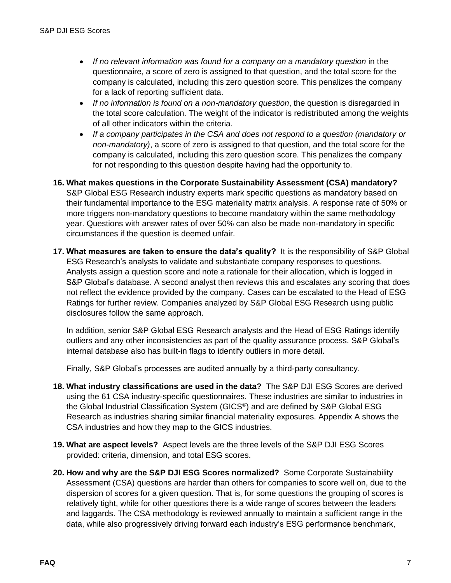- *If no relevant information was found for a company on a mandatory question* in the questionnaire, a score of zero is assigned to that question, and the total score for the company is calculated, including this zero question score. This penalizes the company for a lack of reporting sufficient data.
- *If no information is found on a non-mandatory question*, the question is disregarded in the total score calculation. The weight of the indicator is redistributed among the weights of all other indicators within the criteria.
- *If a company participates in the CSA and does not respond to a question (mandatory or non-mandatory)*, a score of zero is assigned to that question, and the total score for the company is calculated, including this zero question score. This penalizes the company for not responding to this question despite having had the opportunity to.

**16. What makes questions in the Corporate Sustainability Assessment (CSA) mandatory?** S&P Global ESG Research industry experts mark specific questions as mandatory based on their fundamental importance to the ESG materiality matrix analysis. A response rate of 50% or more triggers non-mandatory questions to become mandatory within the same methodology year. Questions with answer rates of over 50% can also be made non-mandatory in specific circumstances if the question is deemed unfair.

**17. What measures are taken to ensure the data's quality?** It is the responsibility of S&P Global ESG Research's analysts to validate and substantiate company responses to questions. Analysts assign a question score and note a rationale for their allocation, which is logged in S&P Global's database. A second analyst then reviews this and escalates any scoring that does not reflect the evidence provided by the company. Cases can be escalated to the Head of ESG Ratings for further review. Companies analyzed by S&P Global ESG Research using public disclosures follow the same approach.

In addition, senior S&P Global ESG Research analysts and the Head of ESG Ratings identify outliers and any other inconsistencies as part of the quality assurance process. S&P Global's internal database also has built-in flags to identify outliers in more detail.

Finally, S&P Global's processes are audited annually by a third-party consultancy.

- **18. What industry classifications are used in the data?** The S&P DJI ESG Scores are derived using the 61 CSA industry-specific questionnaires. These industries are similar to industries in the Global Industrial Classification System (GICS® ) and are defined by S&P Global ESG Research as industries sharing similar financial materiality exposures. Appendix A shows the CSA industries and how they map to the GICS industries.
- **19. What are aspect levels?** Aspect levels are the three levels of the S&P DJI ESG Scores provided: criteria, dimension, and total ESG scores.
- **20. How and why are the S&P DJI ESG Scores normalized?** Some Corporate Sustainability Assessment (CSA) questions are harder than others for companies to score well on, due to the dispersion of scores for a given question. That is, for some questions the grouping of scores is relatively tight, while for other questions there is a wide range of scores between the leaders and laggards. The CSA methodology is reviewed annually to maintain a sufficient range in the data, while also progressively driving forward each industry's ESG performance benchmark,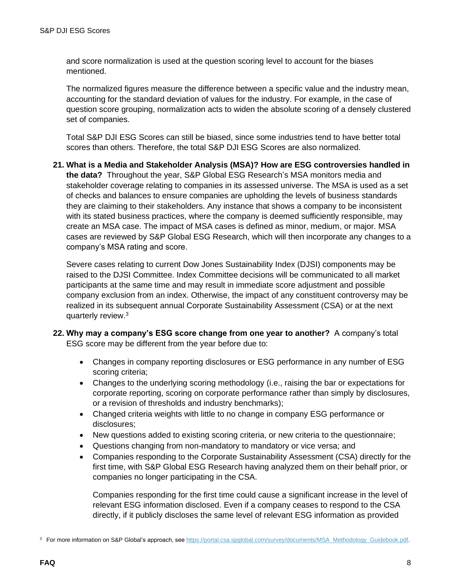and score normalization is used at the question scoring level to account for the biases mentioned.

The normalized figures measure the difference between a specific value and the industry mean, accounting for the standard deviation of values for the industry. For example, in the case of question score grouping, normalization acts to widen the absolute scoring of a densely clustered set of companies.

Total S&P DJI ESG Scores can still be biased, since some industries tend to have better total scores than others. Therefore, the total S&P DJI ESG Scores are also normalized.

**21. What is a Media and Stakeholder Analysis (MSA)? How are ESG controversies handled in the data?** Throughout the year, S&P Global ESG Research's MSA monitors media and stakeholder coverage relating to companies in its assessed universe. The MSA is used as a set of checks and balances to ensure companies are upholding the levels of business standards they are claiming to their stakeholders. Any instance that shows a company to be inconsistent with its stated business practices, where the company is deemed sufficiently responsible, may create an MSA case. The impact of MSA cases is defined as minor, medium, or major. MSA cases are reviewed by S&P Global ESG Research, which will then incorporate any changes to a company's MSA rating and score.

Severe cases relating to current Dow Jones Sustainability Index (DJSI) components may be raised to the DJSI Committee. Index Committee decisions will be communicated to all market participants at the same time and may result in immediate score adjustment and possible company exclusion from an index. Otherwise, the impact of any constituent controversy may be realized in its subsequent annual Corporate Sustainability Assessment (CSA) or at the next quarterly review.<sup>3</sup>

- **22. Why may a company's ESG score change from one year to another?** A company's total ESG score may be different from the year before due to:
	- Changes in company reporting disclosures or ESG performance in any number of ESG scoring criteria;
	- Changes to the underlying scoring methodology (i.e., raising the bar or expectations for corporate reporting, scoring on corporate performance rather than simply by disclosures, or a revision of thresholds and industry benchmarks);
	- Changed criteria weights with little to no change in company ESG performance or disclosures;
	- New questions added to existing scoring criteria, or new criteria to the questionnaire;
	- Questions changing from non-mandatory to mandatory or vice versa; and
	- Companies responding to the Corporate Sustainability Assessment (CSA) directly for the first time, with S&P Global ESG Research having analyzed them on their behalf prior, or companies no longer participating in the CSA.

Companies responding for the first time could cause a significant increase in the level of relevant ESG information disclosed. Even if a company ceases to respond to the CSA directly, if it publicly discloses the same level of relevant ESG information as provided

<sup>&</sup>lt;sup>3</sup> For more information on S&P Global's approach, see [https://portal.csa.spglobal.com/survey/documents/MSA\\_Methodology\\_Guidebook.pdf.](https://portal.csa.spglobal.com/survey/documents/MSA_Methodology_Guidebook.pdf?utm_source=pdf_education)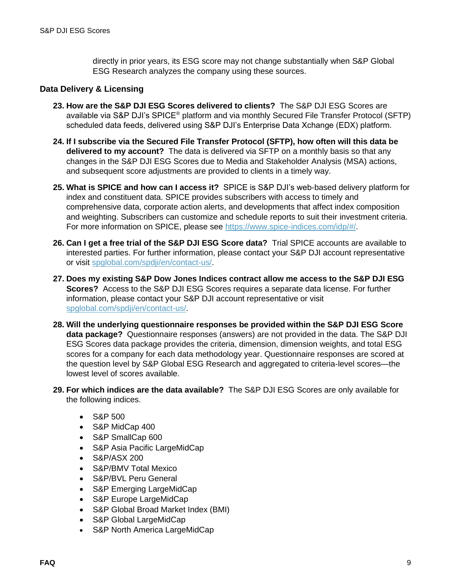directly in prior years, its ESG score may not change substantially when S&P Global ESG Research analyzes the company using these sources.

#### **Data Delivery & Licensing**

- **23. How are the S&P DJI ESG Scores delivered to clients?** The S&P DJI ESG Scores are available via S&P DJI's SPICE® platform and via monthly Secured File Transfer Protocol (SFTP) scheduled data feeds, delivered using S&P DJI's Enterprise Data Xchange (EDX) platform.
- **24. If I subscribe via the Secured File Transfer Protocol (SFTP), how often will this data be delivered to my account?** The data is delivered via SFTP on a monthly basis so that any changes in the S&P DJI ESG Scores due to Media and Stakeholder Analysis (MSA) actions, and subsequent score adjustments are provided to clients in a timely way.
- **25. What is SPICE and how can I access it?** SPICE is S&P DJI's web-based delivery platform for index and constituent data. SPICE provides subscribers with access to timely and comprehensive data, corporate action alerts, and developments that affect index composition and weighting. Subscribers can customize and schedule reports to suit their investment criteria. For more information on SPICE, please see [https://www.spice-indices.com/idp/#/.](https://www.spice-indices.com/idp/#/)
- **26. Can I get a free trial of the S&P DJI ESG Score data?** Trial SPICE accounts are available to interested parties. For further information, please contact your S&P DJI account representative or visit [spglobal.com/spdji/en/contact-us/.](https://www.spglobal.com/spdji/en/contact-us/?utm_source=pdf_education)
- **27. Does my existing S&P Dow Jones Indices contract allow me access to the S&P DJI ESG Scores?** Access to the S&P DJI ESG Scores requires a separate data license. For further information, please contact your S&P DJI account representative or visit [spglobal.com/spdji/en/contact-us/.](https://www.spglobal.com/spdji/en/contact-us/?utm_source=pdf_education)
- **28. Will the underlying questionnaire responses be provided within the S&P DJI ESG Score data package?** Questionnaire responses (answers) are not provided in the data. The S&P DJI ESG Scores data package provides the criteria, dimension, dimension weights, and total ESG scores for a company for each data methodology year. Questionnaire responses are scored at the question level by S&P Global ESG Research and aggregated to criteria-level scores—the lowest level of scores available.
- **29. For which indices are the data available?** The S&P DJI ESG Scores are only available for the following indices.
	- S&P 500
	- S&P MidCap 400
	- S&P SmallCap 600
	- S&P Asia Pacific LargeMidCap
	- S&P/ASX 200
	- S&P/BMV Total Mexico
	- S&P/BVL Peru General
	- S&P Emerging LargeMidCap
	- S&P Europe LargeMidCap
	- S&P Global Broad Market Index (BMI)
	- S&P Global LargeMidCap
	- S&P North America LargeMidCap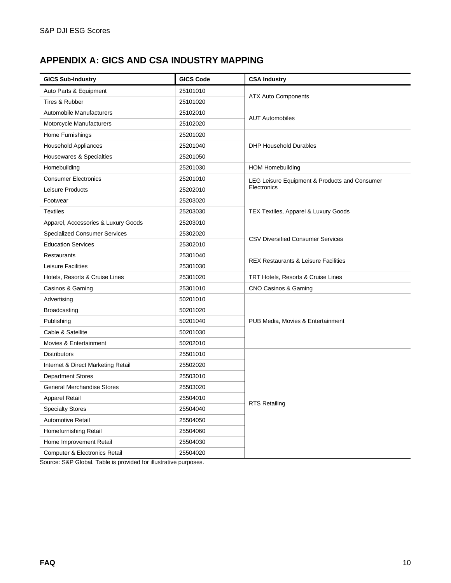# **APPENDIX A: GICS AND CSA INDUSTRY MAPPING**

| <b>GICS Sub-Industry</b>                                                     | <b>GICS Code</b> | <b>CSA Industry</b>                             |
|------------------------------------------------------------------------------|------------------|-------------------------------------------------|
| Auto Parts & Equipment                                                       | 25101010         | <b>ATX Auto Components</b>                      |
| Tires & Rubber                                                               | 25101020         |                                                 |
| Automobile Manufacturers                                                     | 25102010         | <b>AUT Automobiles</b>                          |
| Motorcycle Manufacturers                                                     | 25102020         |                                                 |
| Home Furnishings                                                             | 25201020         |                                                 |
| Household Appliances                                                         | 25201040         | <b>DHP Household Durables</b>                   |
| Housewares & Specialties                                                     | 25201050         |                                                 |
| Homebuilding                                                                 | 25201030         | <b>HOM Homebuilding</b>                         |
| <b>Consumer Electronics</b>                                                  | 25201010         | LEG Leisure Equipment & Products and Consumer   |
| Leisure Products                                                             | 25202010         | Electronics                                     |
| Footwear                                                                     | 25203020         |                                                 |
| <b>Textiles</b>                                                              | 25203030         | TEX Textiles, Apparel & Luxury Goods            |
| Apparel, Accessories & Luxury Goods                                          | 25203010         |                                                 |
| <b>Specialized Consumer Services</b>                                         | 25302020         |                                                 |
| <b>Education Services</b>                                                    | 25302010         | <b>CSV Diversified Consumer Services</b>        |
| Restaurants                                                                  | 25301040         |                                                 |
| Leisure Facilities                                                           | 25301030         | <b>REX Restaurants &amp; Leisure Facilities</b> |
| Hotels, Resorts & Cruise Lines                                               | 25301020         | TRT Hotels, Resorts & Cruise Lines              |
| Casinos & Gaming                                                             | 25301010         | CNO Casinos & Gaming                            |
| Advertising                                                                  | 50201010         |                                                 |
| <b>Broadcasting</b>                                                          | 50201020         |                                                 |
| Publishing                                                                   | 50201040         | PUB Media, Movies & Entertainment               |
| Cable & Satellite                                                            | 50201030         |                                                 |
| Movies & Entertainment                                                       | 50202010         |                                                 |
| <b>Distributors</b>                                                          | 25501010         |                                                 |
| Internet & Direct Marketing Retail                                           | 25502020         |                                                 |
| <b>Department Stores</b>                                                     | 25503010         |                                                 |
| <b>General Merchandise Stores</b>                                            | 25503020         |                                                 |
| <b>Apparel Retail</b>                                                        | 25504010         |                                                 |
| <b>Specialty Stores</b>                                                      | 25504040         | <b>RTS Retailing</b>                            |
| <b>Automotive Retail</b><br>Homefurnishing Retail<br>Home Improvement Retail | 25504050         |                                                 |
|                                                                              | 25504060         |                                                 |
|                                                                              | 25504030         |                                                 |
| <b>Computer &amp; Electronics Retail</b>                                     | 25504020         |                                                 |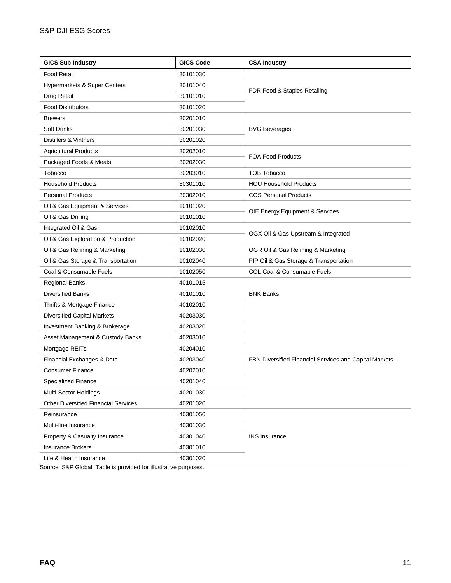| <b>GICS Sub-Industry</b>                    | <b>GICS Code</b> | <b>CSA Industry</b>                                    |  |
|---------------------------------------------|------------------|--------------------------------------------------------|--|
| <b>Food Retail</b>                          | 30101030         |                                                        |  |
| Hypermarkets & Super Centers                | 30101040         | FDR Food & Staples Retailing                           |  |
| Drug Retail                                 | 30101010         |                                                        |  |
| <b>Food Distributors</b>                    | 30101020         |                                                        |  |
| <b>Brewers</b>                              | 30201010         |                                                        |  |
| <b>Soft Drinks</b>                          | 30201030         | <b>BVG Beverages</b>                                   |  |
| Distillers & Vintners                       | 30201020         |                                                        |  |
| <b>Agricultural Products</b>                | 30202010         |                                                        |  |
| Packaged Foods & Meats                      | 30202030         | <b>FOA Food Products</b>                               |  |
| Tobacco                                     | 30203010         | <b>TOB Tobacco</b>                                     |  |
| <b>Household Products</b>                   | 30301010         | <b>HOU Household Products</b>                          |  |
| <b>Personal Products</b>                    | 30302010         | <b>COS Personal Products</b>                           |  |
| Oil & Gas Equipment & Services              | 10101020         |                                                        |  |
| Oil & Gas Drilling                          | 10101010         | OIE Energy Equipment & Services                        |  |
| Integrated Oil & Gas                        | 10102010         | OGX Oil & Gas Upstream & Integrated                    |  |
| Oil & Gas Exploration & Production          | 10102020         |                                                        |  |
| Oil & Gas Refining & Marketing              | 10102030         | OGR Oil & Gas Refining & Marketing                     |  |
| Oil & Gas Storage & Transportation          | 10102040         | PIP Oil & Gas Storage & Transportation                 |  |
| Coal & Consumable Fuels                     | 10102050         | COL Coal & Consumable Fuels                            |  |
| Regional Banks                              | 40101015         |                                                        |  |
| <b>Diversified Banks</b>                    | 40101010         | <b>BNK Banks</b>                                       |  |
| Thrifts & Mortgage Finance                  | 40102010         |                                                        |  |
| <b>Diversified Capital Markets</b>          | 40203030         |                                                        |  |
| Investment Banking & Brokerage              | 40203020         |                                                        |  |
| Asset Management & Custody Banks            | 40203010         | FBN Diversified Financial Services and Capital Markets |  |
| Mortgage REITs                              | 40204010         |                                                        |  |
| Financial Exchanges & Data                  | 40203040         |                                                        |  |
| <b>Consumer Finance</b>                     | 40202010         |                                                        |  |
| Specialized Finance                         | 40201040         |                                                        |  |
| Multi-Sector Holdings                       | 40201030         |                                                        |  |
| <b>Other Diversified Financial Services</b> | 40201020         |                                                        |  |
| Reinsurance                                 | 40301050         |                                                        |  |
| Multi-line Insurance                        | 40301030         |                                                        |  |
| Property & Casualty Insurance               | 40301040         | <b>INS Insurance</b>                                   |  |
| <b>Insurance Brokers</b>                    | 40301010         |                                                        |  |
| Life & Health Insurance                     | 40301020         |                                                        |  |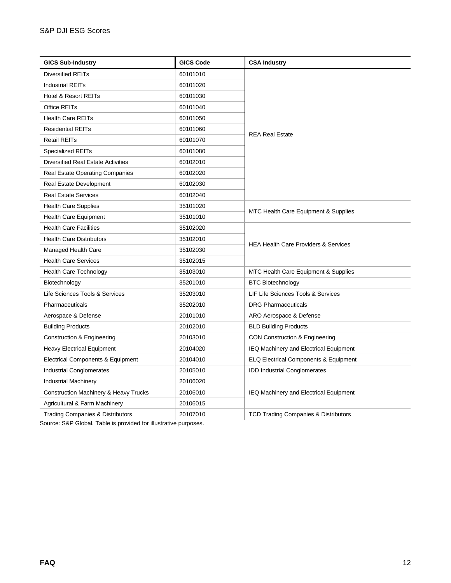| <b>GICS Sub-Industry</b>                         | <b>GICS Code</b> | <b>CSA Industry</b>                              |
|--------------------------------------------------|------------------|--------------------------------------------------|
| Diversified REITs                                | 60101010         |                                                  |
| <b>Industrial REITs</b>                          | 60101020         |                                                  |
| Hotel & Resort REITs                             | 60101030         |                                                  |
| Office REITs                                     | 60101040         |                                                  |
| <b>Health Care REITs</b>                         | 60101050         |                                                  |
| <b>Residential REITs</b>                         | 60101060         | <b>REA Real Estate</b>                           |
| <b>Retail REITs</b>                              | 60101070         |                                                  |
| <b>Specialized REITs</b>                         | 60101080         |                                                  |
| <b>Diversified Real Estate Activities</b>        | 60102010         |                                                  |
| <b>Real Estate Operating Companies</b>           | 60102020         |                                                  |
| Real Estate Development                          | 60102030         |                                                  |
| <b>Real Estate Services</b>                      | 60102040         |                                                  |
| <b>Health Care Supplies</b>                      | 35101020         | MTC Health Care Equipment & Supplies             |
| <b>Health Care Equipment</b>                     | 35101010         |                                                  |
| <b>Health Care Facilities</b>                    | 35102020         | <b>HEA Health Care Providers &amp; Services</b>  |
| <b>Health Care Distributors</b>                  | 35102010         |                                                  |
| Managed Health Care                              | 35102030         |                                                  |
| <b>Health Care Services</b>                      | 35102015         |                                                  |
| <b>Health Care Technology</b>                    | 35103010         | MTC Health Care Equipment & Supplies             |
| Biotechnology                                    | 35201010         | <b>BTC Biotechnology</b>                         |
| Life Sciences Tools & Services                   | 35203010         | LIF Life Sciences Tools & Services               |
| Pharmaceuticals                                  | 35202010         | <b>DRG Pharmaceuticals</b>                       |
| Aerospace & Defense                              | 20101010         | ARO Aerospace & Defense                          |
| <b>Building Products</b>                         | 20102010         | <b>BLD Building Products</b>                     |
| Construction & Engineering                       | 20103010         | CON Construction & Engineering                   |
| Heavy Electrical Equipment                       | 20104020         | IEQ Machinery and Electrical Equipment           |
| Electrical Components & Equipment                | 20104010         | <b>ELQ Electrical Components &amp; Equipment</b> |
| <b>Industrial Conglomerates</b>                  | 20105010         | <b>IDD Industrial Conglomerates</b>              |
| <b>Industrial Machinery</b>                      | 20106020         | IEQ Machinery and Electrical Equipment           |
| <b>Construction Machinery &amp; Heavy Trucks</b> | 20106010         |                                                  |
| Agricultural & Farm Machinery                    | 20106015         |                                                  |
| <b>Trading Companies &amp; Distributors</b>      | 20107010         | <b>TCD Trading Companies &amp; Distributors</b>  |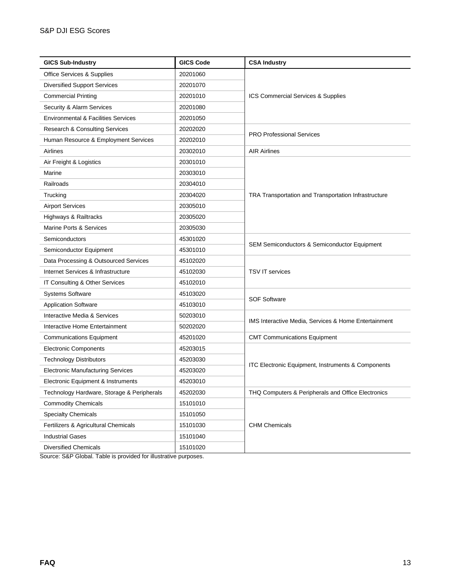| <b>GICS Sub-Industry</b>                       | <b>GICS Code</b> | <b>CSA Industry</b>                                     |  |
|------------------------------------------------|------------------|---------------------------------------------------------|--|
| Office Services & Supplies                     | 20201060         |                                                         |  |
| <b>Diversified Support Services</b>            | 20201070         | ICS Commercial Services & Supplies                      |  |
| <b>Commercial Printing</b>                     | 20201010         |                                                         |  |
| Security & Alarm Services                      | 20201080         |                                                         |  |
| <b>Environmental &amp; Facilities Services</b> | 20201050         |                                                         |  |
| Research & Consulting Services                 | 20202020         |                                                         |  |
| Human Resource & Employment Services           | 20202010         | <b>PRO Professional Services</b>                        |  |
| Airlines                                       | 20302010         | <b>AIR Airlines</b>                                     |  |
| Air Freight & Logistics                        | 20301010         |                                                         |  |
| Marine                                         | 20303010         |                                                         |  |
| Railroads                                      | 20304010         |                                                         |  |
| Trucking                                       | 20304020         | TRA Transportation and Transportation Infrastructure    |  |
| <b>Airport Services</b>                        | 20305010         |                                                         |  |
| Highways & Railtracks                          | 20305020         |                                                         |  |
| Marine Ports & Services                        | 20305030         |                                                         |  |
| Semiconductors                                 | 45301020         |                                                         |  |
| Semiconductor Equipment                        | 45301010         | <b>SEM Semiconductors &amp; Semiconductor Equipment</b> |  |
| Data Processing & Outsourced Services          | 45102020         |                                                         |  |
| Internet Services & Infrastructure             | 45102030         | <b>TSV IT services</b>                                  |  |
| IT Consulting & Other Services                 | 45102010         |                                                         |  |
| <b>Systems Software</b>                        | 45103020         |                                                         |  |
| <b>Application Software</b>                    | 45103010         | <b>SOF Software</b>                                     |  |
| Interactive Media & Services                   | 50203010         |                                                         |  |
| Interactive Home Entertainment                 | 50202020         | IMS Interactive Media, Services & Home Entertainment    |  |
| <b>Communications Equipment</b>                | 45201020         | <b>CMT Communications Equipment</b>                     |  |
| <b>Electronic Components</b>                   | 45203015         |                                                         |  |
| <b>Technology Distributors</b>                 | 45203030         | ITC Electronic Equipment, Instruments & Components      |  |
| <b>Electronic Manufacturing Services</b>       | 45203020         |                                                         |  |
| Electronic Equipment & Instruments             | 45203010         |                                                         |  |
| Technology Hardware, Storage & Peripherals     | 45202030         | THQ Computers & Peripherals and Office Electronics      |  |
| <b>Commodity Chemicals</b>                     | 15101010         |                                                         |  |
| <b>Specialty Chemicals</b>                     | 15101050         | <b>CHM Chemicals</b>                                    |  |
| Fertilizers & Agricultural Chemicals           | 15101030         |                                                         |  |
| <b>Industrial Gases</b>                        | 15101040         |                                                         |  |
| <b>Diversified Chemicals</b>                   | 15101020         |                                                         |  |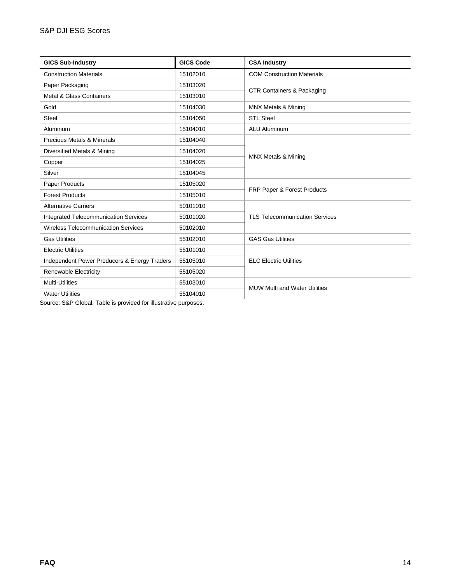| <b>GICS Sub-Industry</b>                                            | <b>GICS Code</b> | <b>CSA Industry</b>                   |
|---------------------------------------------------------------------|------------------|---------------------------------------|
| <b>Construction Materials</b>                                       | 15102010         | <b>COM Construction Materials</b>     |
| Paper Packaging                                                     | 15103020         | <b>CTR Containers &amp; Packaging</b> |
| Metal & Glass Containers                                            | 15103010         |                                       |
| Gold                                                                | 15104030         | <b>MNX Metals &amp; Mining</b>        |
| Steel                                                               | 15104050         | <b>STL Steel</b>                      |
| Aluminum                                                            | 15104010         | <b>ALU Aluminum</b>                   |
| <b>Precious Metals &amp; Minerals</b>                               | 15104040         |                                       |
| Diversified Metals & Mining                                         | 15104020         |                                       |
| Copper                                                              | 15104025         | <b>MNX Metals &amp; Mining</b>        |
| Silver                                                              | 15104045         |                                       |
| Paper Products                                                      | 15105020         | FRP Paper & Forest Products           |
| <b>Forest Products</b>                                              | 15105010         |                                       |
| <b>Alternative Carriers</b>                                         | 50101010         |                                       |
| <b>Integrated Telecommunication Services</b>                        | 50101020         | <b>TLS Telecommunication Services</b> |
| <b>Wireless Telecommunication Services</b>                          | 50102010         |                                       |
| <b>Gas Utilities</b>                                                | 55102010         | <b>GAS Gas Utilities</b>              |
| <b>Electric Utilities</b>                                           | 55101010         |                                       |
| Independent Power Producers & Energy Traders                        | 55105010         | <b>ELC Electric Utilities</b>         |
| Renewable Electricity                                               | 55105020         |                                       |
| <b>Multi-Utilities</b>                                              | 55103010         | <b>MUW Multi and Water Utilities</b>  |
| <b>Water Utilities</b><br>$\cdot$ $ \cdot$ $\cdot$<br>$\sim$ $\sim$ | 55104010         |                                       |